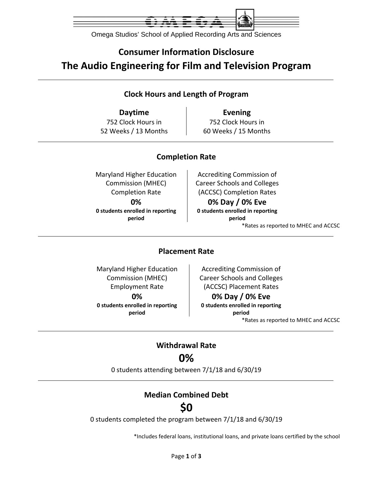

Omega Studios' School of Applied Recording Arts and Sciences

# **Consumer Information Disclosure The Audio Engineering for Film and Television Program**

### **Clock Hours and Length of Program**

752 Clock Hours in 52 Weeks / 13 Months

**Daytime Evening** 752 Clock Hours in 60 Weeks / 15 Months

### **Completion Rate**

Maryland Higher Education Commission (MHEC) Completion Rate **0% 0 students enrolled in reporting period**

Accrediting Commission of Career Schools and Colleges (ACCSC) Completion Rates

**0% Day / 0% Eve 0 students enrolled in reporting period** \*Rates as reported to MHEC and ACCSC

### **Placement Rate**

Maryland Higher Education Commission (MHEC) Employment Rate **0% 0 students enrolled in reporting period**

Accrediting Commission of Career Schools and Colleges (ACCSC) Placement Rates

#### **0% Day / 0% Eve**

**0 students enrolled in reporting period** \*Rates as reported to MHEC and ACCSC

### **Withdrawal Rate 0%**

0 students attending between 7/1/18 and 6/30/19

### **Median Combined Debt**

# **\$0**

0 students completed the program between 7/1/18 and 6/30/19

\*Includes federal loans, institutional loans, and private loans certified by the school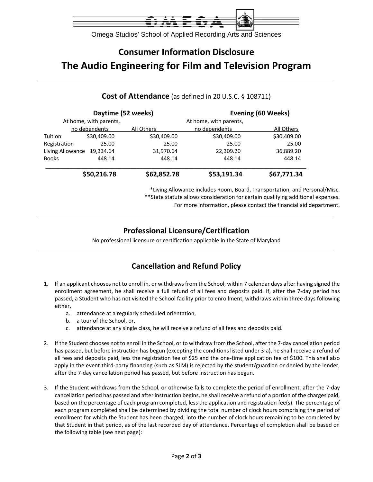

Omega Studios' School of Applied Recording Arts and Sciences

# **Consumer Information Disclosure The Audio Engineering for Film and Television Program**

#### **Daytime** (52 weeks) **Evening** (60 Weeks) At home, with parents, At home, with parents, no dependents All Others no dependents All Others Tuition \$30,409.00 \$30,409.00 \$30,409.00 \$30,409.00 Registration 25.00 25.00 25.00 25.00 Living Allowance 19,334.64 31,970.64 22,309.20 36,889.20 Books 448.14 448.14 448.14 448.14 \_\_\_\_\_\_\_\_\_\_\_\_\_\_\_\_\_\_\_\_\_\_\_\_\_\_\_\_\_\_\_\_\_\_\_\_\_\_\_\_\_\_\_\_\_\_\_\_\_\_\_\_\_\_\_\_\_\_\_\_\_\_\_\_\_\_\_\_\_\_\_\_\_\_\_\_\_\_\_\_\_\_\_\_\_\_ **\$50,216.78 \$62,852.78 \$53,191.34 \$67,771.34**

**Cost of Attendance** (as defined in 20 U.S.C. § 108711)

\*Living Allowance includes Room, Board, Transportation, and Personal/Misc. \*\*State statute allows consideration for certain qualifying additional expenses.

For more information, please contact the financial aid department.

### **Professional Licensure/Certification**

No professional licensure or certification applicable in the State of Maryland

### **Cancellation and Refund Policy**

- 1. If an applicant chooses not to enroll in, or withdraws from the School, within 7 calendar days after having signed the enrollment agreement, he shall receive a full refund of all fees and deposits paid. If, after the 7‐day period has passed, a Student who has not visited the School facility prior to enrollment, withdraws within three days following either,
	- a. attendance at a regularly scheduled orientation,
	- b. a tour of the School, or,
	- c. attendance at any single class, he will receive a refund of all fees and deposits paid.
- 2. If the Student chooses not to enroll in the School, or to withdraw from the School, after the 7‐day cancellation period has passed, but before instruction has begun (excepting the conditions listed under 3-a), he shall receive a refund of all fees and deposits paid, less the registration fee of \$25 and the one‐time application fee of \$100. This shall also apply in the event third-party financing (such as SLM) is rejected by the student/guardian or denied by the lender, after the 7‐day cancellation period has passed, but before instruction has begun.
- 3. If the Student withdraws from the School, or otherwise fails to complete the period of enrollment, after the 7‐day cancellation period has passed and after instruction begins, he shall receive a refund of a portion of the charges paid, based on the percentage of each program completed, less the application and registration fee(s). The percentage of each program completed shall be determined by dividing the total number of clock hours comprising the period of enrollment for which the Student has been charged, into the number of clock hours remaining to be completed by that Student in that period, as of the last recorded day of attendance. Percentage of completion shall be based on the following table (see next page):